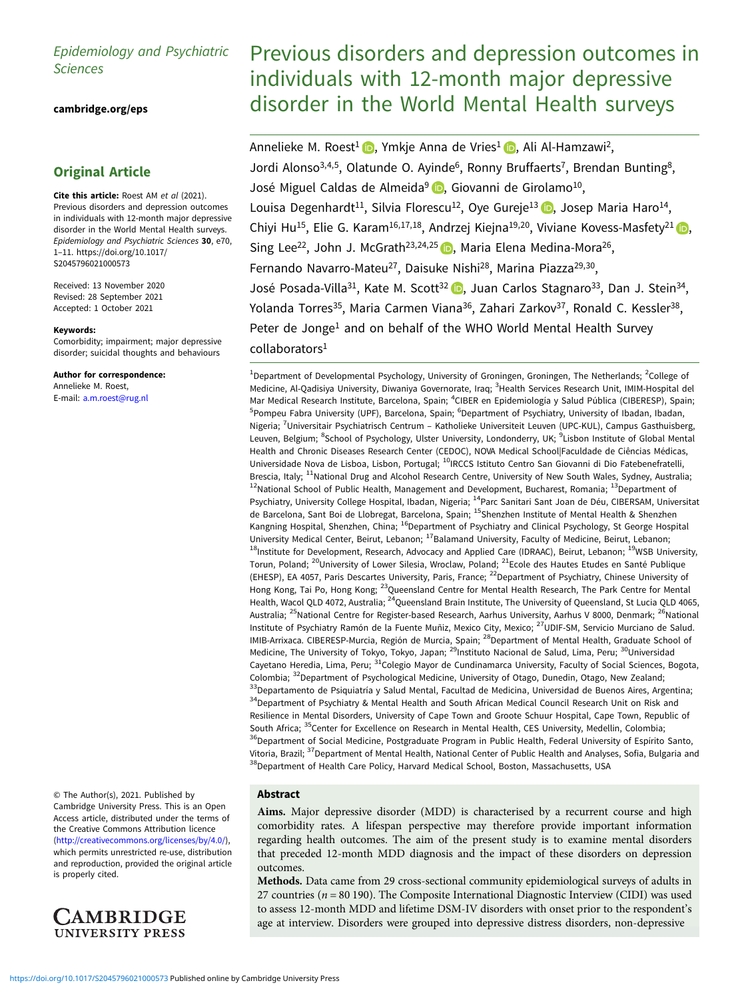# Epidemiology and Psychiatric Sciences

[cambridge.org/eps](https://www.cambridge.org/eps)

# Original Article

Cite this article: Roest AM et al (2021). Previous disorders and depression outcomes in individuals with 12-month major depressive disorder in the World Mental Health surveys. Epidemiology and Psychiatric Sciences 30, e70, 1–11. [https://doi.org/10.1017/](https://doi.org/10.1017/S2045796021000573) [S2045796021000573](https://doi.org/10.1017/S2045796021000573)

Received: 13 November 2020 Revised: 28 September 2021 Accepted: 1 October 2021

#### Keywords:

Comorbidity; impairment; major depressive disorder; suicidal thoughts and behaviours

# Author for correspondence:

Annelieke M. Roest, E-mail: [a.m.roest@rug.nl](mailto:a.m.roest@rug.nl)

© The Author(s), 2021. Published by Cambridge University Press. This is an Open Access article, distributed under the terms of the Creative Commons Attribution licence ([http://creativecommons.org/licenses/by/4.0/\)](http://creativecommons.org/licenses/by/4.0/), which permits unrestricted re-use, distribution and reproduction, provided the original article is properly cited.



# Previous disorders and depression outcomes in individuals with 12-month major depressive disorder in the World Mental Health surveys

Annelieke M. Roest<sup>1</sup> (D. Ymkje Anna de Vries<sup>1</sup> (D. Ali Al-Hamzawi<sup>2</sup>[,](https://orcid.org/0000-0003-4580-4873) Jordi Alonso<sup>3,4,5</sup>, Olatunde O. Ayinde<sup>6</sup>, Ronny Bruffaerts<sup>7</sup>, Brendan Bunting<sup>8</sup>, José Miguel Caldas de Almeida<sup>9</sup> D[,](https://orcid.org/0000-0003-1902-6772) Giovanni de Girolamo<sup>10</sup>, Louisa Degenhardt<sup>11</sup>, Silvia Florescu<sup>12</sup>, Oye Gureje<sup>13</sup> D, Josep Maria Haro<sup>14</sup>, Chiyi Hu<sup>15</sup>, Elie G. Karam<sup>16,17,18</sup>, Andrzej Kiejna<sup>19,20</sup>, Viviane Kovess-Masfety<sup>21</sup> Sing Lee<sup>22</sup>[,](https://orcid.org/0000-0002-4792-6068) John J. McGrath<sup>23,24,25</sup>  $\bullet$ , Maria Elena Medina-Mora<sup>26</sup>, Fernando Navarro-Mateu<sup>27</sup>, Daisuke Nishi<sup>28</sup>, Marina Piazza<sup>29,30</sup>, José Posada-Villa<sup>31</sup>[,](https://orcid.org/0000-0002-3928-8377) Kate M. Scott<sup>32</sup> **D**, Juan Carlos Stagnaro<sup>33</sup>, Dan J. Stein<sup>34</sup>, Yolanda Torres<sup>35</sup>, Maria Carmen Viana<sup>36</sup>, Zahari Zarkov<sup>37</sup>, Ronald C. Kessler<sup>38</sup>, Peter de Jonge<sup>1</sup> and on behalf of the WHO World Mental Health Survey collaborators<sup>1</sup>

<sup>1</sup>Department of Developmental Psychology, University of Groningen, Groningen, The Netherlands; <sup>2</sup>College of Medicine, Al-Qadisiya University, Diwaniya Governorate, Iraq; <sup>3</sup>Health Services Research Unit, IMIM-Hospital del Mar Medical Research Institute, Barcelona, Spain; <sup>4</sup>CIBER en Epidemiología y Salud Pública (CIBERESP), Spain; <sup>5</sup>Pompeu Fabra University (UPF), Barcelona, Spain; <sup>6</sup>Department of Psychiatry, University of Ibadan, Ibadan, Nigeria; <sup>7</sup>Universitair Psychiatrisch Centrum – Katholieke Universiteit Leuven (UPC-KUL), Campus Gasthuisberg, Leuven, Belgium; <sup>8</sup>School of Psychology, Ulster University, Londonderry, UK; <sup>9</sup>Lisbon Institute of Global Mental Health and Chronic Diseases Research Center (CEDOC), NOVA Medical School|Faculdade de Ciências Médicas, Universidade Nova de Lisboa, Lisbon, Portugal; <sup>10</sup>IRCCS Istituto Centro San Giovanni di Dio Fatebenefratelli, Brescia, Italy; <sup>11</sup>National Drug and Alcohol Research Centre, University of New South Wales, Sydney, Australia; <sup>12</sup>National School of Public Health, Management and Development, Bucharest, Romania; <sup>13</sup>Department of Psychiatry, University College Hospital, Ibadan, Nigeria; <sup>14</sup>Parc Sanitari Sant Joan de Déu, CIBERSAM, Universitat de Barcelona, Sant Boi de Llobregat, Barcelona, Spain; 15Shenzhen Institute of Mental Health & Shenzhen Kangning Hospital, Shenzhen, China; <sup>16</sup>Department of Psychiatry and Clinical Psychology, St George Hospital University Medical Center, Beirut, Lebanon; <sup>17</sup>Balamand University, Faculty of Medicine, Beirut, Lebanon; <sup>18</sup>Institute for Development, Research, Advocacy and Applied Care (IDRAAC), Beirut, Lebanon; <sup>19</sup>WSB University, Torun, Poland; 20University of Lower Silesia, Wroclaw, Poland; 21Ecole des Hautes Etudes en Santé Publique (EHESP), EA 4057, Paris Descartes University, Paris, France; <sup>22</sup>Department of Psychiatry, Chinese University of Hong Kong, Tai Po, Hong Kong; <sup>23</sup>Queensland Centre for Mental Health Research, The Park Centre for Mental Health, Wacol QLD 4072, Australia; <sup>24</sup>Queensland Brain Institute, The University of Queensland, St Lucia QLD 4065, Australia; <sup>25</sup>National Centre for Register-based Research, Aarhus University, Aarhus V 8000, Denmark; <sup>26</sup>National Institute of Psychiatry Ramón de la Fuente Muñiz, Mexico City, Mexico; <sup>27</sup>UDIF-SM, Servicio Murciano de Salud. IMIB-Arrixaca. CIBERESP-Murcia, Región de Murcia, Spain; <sup>28</sup>Department of Mental Health, Graduate School of Medicine, The University of Tokyo, Tokyo, Japan; <sup>29</sup>Instituto Nacional de Salud, Lima, Peru; <sup>30</sup>Universidad Cayetano Heredia, Lima, Peru; <sup>31</sup>Colegio Mayor de Cundinamarca University, Faculty of Social Sciences, Bogota, Colombia; 32Department of Psychological Medicine, University of Otago, Dunedin, Otago, New Zealand;  $33$ Departamento de Psiquiatría y Salud Mental, Facultad de Medicina, Universidad de Buenos Aires, Argentina; <sup>34</sup> Department of Psychiatry & Mental Health and South African Medical Council Research Unit on Risk and Resilience in Mental Disorders, University of Cape Town and Groote Schuur Hospital, Cape Town, Republic of South Africa; <sup>35</sup>Center for Excellence on Research in Mental Health, CES University, Medellin, Colombia; <sup>36</sup>Department of Social Medicine, Postgraduate Program in Public Health, Federal University of Espírito Santo, Vitoria, Brazil; <sup>37</sup>Department of Mental Health, National Center of Public Health and Analyses, Sofia, Bulgaria and 38Department of Health Care Policy, Harvard Medical School, Boston, Massachusetts, USA

# Abstract

Aims. Major depressive disorder (MDD) is characterised by a recurrent course and high comorbidity rates. A lifespan perspective may therefore provide important information regarding health outcomes. The aim of the present study is to examine mental disorders that preceded 12-month MDD diagnosis and the impact of these disorders on depression outcomes.

Methods. Data came from 29 cross-sectional community epidemiological surveys of adults in 27 countries ( $n = 80$  190). The Composite International Diagnostic Interview (CIDI) was used to assess 12-month MDD and lifetime DSM-IV disorders with onset prior to the respondent's age at interview. Disorders were grouped into depressive distress disorders, non-depressive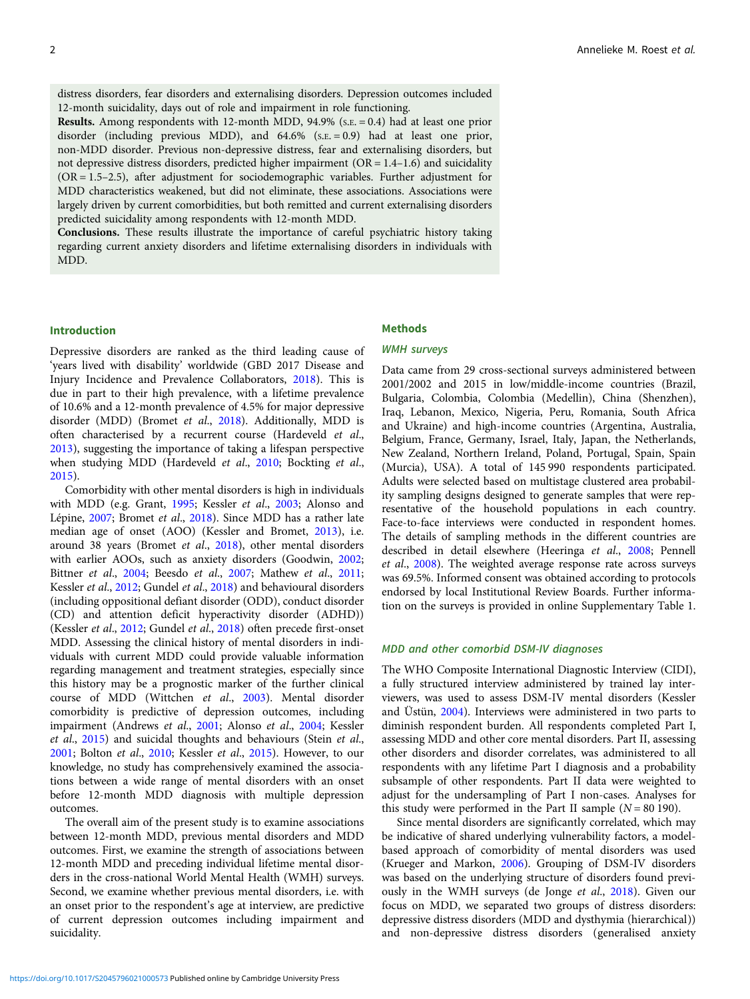distress disorders, fear disorders and externalising disorders. Depression outcomes included 12-month suicidality, days out of role and impairment in role functioning.

**Results.** Among respondents with 12-month MDD, 94.9% ( $s.E. = 0.4$ ) had at least one prior disorder (including previous MDD), and  $64.6\%$  (s.e.  $= 0.9$ ) had at least one prior, non-MDD disorder. Previous non-depressive distress, fear and externalising disorders, but not depressive distress disorders, predicted higher impairment (OR = 1.4–1.6) and suicidality (OR = 1.5–2.5), after adjustment for sociodemographic variables. Further adjustment for MDD characteristics weakened, but did not eliminate, these associations. Associations were largely driven by current comorbidities, but both remitted and current externalising disorders predicted suicidality among respondents with 12-month MDD.

Conclusions. These results illustrate the importance of careful psychiatric history taking regarding current anxiety disorders and lifetime externalising disorders in individuals with MDD.

# Introduction

# Methods

# Depressive disorders are ranked as the third leading cause of 'years lived with disability' worldwide (GBD 2017 Disease and Injury Incidence and Prevalence Collaborators, [2018](#page-9-0)). This is due in part to their high prevalence, with a lifetime prevalence of 10.6% and a 12-month prevalence of 4.5% for major depressive disorder (MDD) (Bromet et al., [2018\)](#page-9-0). Additionally, MDD is often characterised by a recurrent course (Hardeveld et al., [2013\)](#page-10-0), suggesting the importance of taking a lifespan perspective when studying MDD (Hardeveld et al., [2010](#page-10-0); Bockting et al., [2015\)](#page-9-0).

Comorbidity with other mental disorders is high in individuals with MDD (e.g. Grant, [1995;](#page-9-0) Kessler et al., [2003;](#page-10-0) Alonso and Lépine, [2007;](#page-9-0) Bromet et al., [2018\)](#page-9-0). Since MDD has a rather late median age of onset (AOO) (Kessler and Bromet, [2013](#page-10-0)), i.e. around 38 years (Bromet et al., [2018](#page-9-0)), other mental disorders with earlier AOOs, such as anxiety disorders (Goodwin, [2002](#page-9-0); Bittner et al., [2004](#page-9-0); Beesdo et al., [2007;](#page-9-0) Mathew et al., [2011](#page-10-0); Kessler et al., [2012;](#page-10-0) Gundel et al., [2018](#page-9-0)) and behavioural disorders (including oppositional defiant disorder (ODD), conduct disorder (CD) and attention deficit hyperactivity disorder (ADHD)) (Kessler et al., [2012;](#page-10-0) Gundel et al., [2018\)](#page-9-0) often precede first-onset MDD. Assessing the clinical history of mental disorders in individuals with current MDD could provide valuable information regarding management and treatment strategies, especially since this history may be a prognostic marker of the further clinical course of MDD (Wittchen et al., [2003](#page-10-0)). Mental disorder comorbidity is predictive of depression outcomes, including impairment (Andrews et al., [2001](#page-9-0); Alonso et al., [2004;](#page-9-0) Kessler et al., [2015](#page-10-0)) and suicidal thoughts and behaviours (Stein et al., [2001;](#page-10-0) Bolton et al., [2010](#page-9-0); Kessler et al., [2015](#page-10-0)). However, to our knowledge, no study has comprehensively examined the associations between a wide range of mental disorders with an onset before 12-month MDD diagnosis with multiple depression outcomes.

The overall aim of the present study is to examine associations between 12-month MDD, previous mental disorders and MDD outcomes. First, we examine the strength of associations between 12-month MDD and preceding individual lifetime mental disorders in the cross-national World Mental Health (WMH) surveys. Second, we examine whether previous mental disorders, i.e. with an onset prior to the respondent's age at interview, are predictive of current depression outcomes including impairment and suicidality.

# WMH surveys

Data came from 29 cross-sectional surveys administered between 2001/2002 and 2015 in low/middle-income countries (Brazil, Bulgaria, Colombia, Colombia (Medellin), China (Shenzhen), Iraq, Lebanon, Mexico, Nigeria, Peru, Romania, South Africa and Ukraine) and high-income countries (Argentina, Australia, Belgium, France, Germany, Israel, Italy, Japan, the Netherlands, New Zealand, Northern Ireland, Poland, Portugal, Spain, Spain (Murcia), USA). A total of 145 990 respondents participated. Adults were selected based on multistage clustered area probability sampling designs designed to generate samples that were representative of the household populations in each country. Face-to-face interviews were conducted in respondent homes. The details of sampling methods in the different countries are described in detail elsewhere (Heeringa et al., [2008;](#page-10-0) Pennell et al., [2008\)](#page-10-0). The weighted average response rate across surveys was 69.5%. Informed consent was obtained according to protocols endorsed by local Institutional Review Boards. Further information on the surveys is provided in online Supplementary Table 1.

#### MDD and other comorbid DSM-IV diagnoses

The WHO Composite International Diagnostic Interview (CIDI), a fully structured interview administered by trained lay interviewers, was used to assess DSM-IV mental disorders (Kessler and Üstün, [2004](#page-10-0)). Interviews were administered in two parts to diminish respondent burden. All respondents completed Part I, assessing MDD and other core mental disorders. Part II, assessing other disorders and disorder correlates, was administered to all respondents with any lifetime Part I diagnosis and a probability subsample of other respondents. Part II data were weighted to adjust for the undersampling of Part I non-cases. Analyses for this study were performed in the Part II sample  $(N = 80 190)$ .

Since mental disorders are significantly correlated, which may be indicative of shared underlying vulnerability factors, a modelbased approach of comorbidity of mental disorders was used (Krueger and Markon, [2006](#page-10-0)). Grouping of DSM-IV disorders was based on the underlying structure of disorders found previ-ously in the WMH surveys (de Jonge et al., [2018](#page-9-0)). Given our focus on MDD, we separated two groups of distress disorders: depressive distress disorders (MDD and dysthymia (hierarchical)) and non-depressive distress disorders (generalised anxiety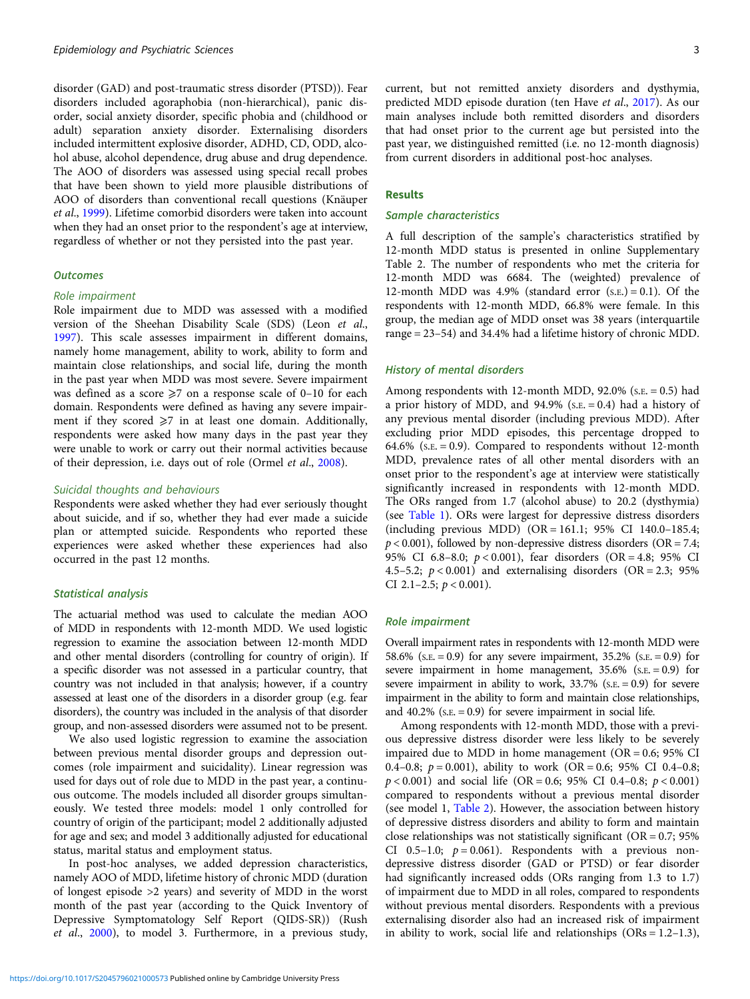disorder (GAD) and post-traumatic stress disorder (PTSD)). Fear disorders included agoraphobia (non-hierarchical), panic disorder, social anxiety disorder, specific phobia and (childhood or adult) separation anxiety disorder. Externalising disorders included intermittent explosive disorder, ADHD, CD, ODD, alcohol abuse, alcohol dependence, drug abuse and drug dependence. The AOO of disorders was assessed using special recall probes that have been shown to yield more plausible distributions of AOO of disorders than conventional recall questions (Knäuper et al., [1999](#page-10-0)). Lifetime comorbid disorders were taken into account when they had an onset prior to the respondent's age at interview, regardless of whether or not they persisted into the past year.

#### **Outcomes**

## Role impairment

Role impairment due to MDD was assessed with a modified version of the Sheehan Disability Scale (SDS) (Leon et al., [1997\)](#page-10-0). This scale assesses impairment in different domains, namely home management, ability to work, ability to form and maintain close relationships, and social life, during the month in the past year when MDD was most severe. Severe impairment was defined as a score  $\geq 7$  on a response scale of 0-10 for each domain. Respondents were defined as having any severe impairment if they scored  $\geq 7$  in at least one domain. Additionally, respondents were asked how many days in the past year they were unable to work or carry out their normal activities because of their depression, i.e. days out of role (Ormel et al., [2008\)](#page-10-0).

## Suicidal thoughts and behaviours

Respondents were asked whether they had ever seriously thought about suicide, and if so, whether they had ever made a suicide plan or attempted suicide. Respondents who reported these experiences were asked whether these experiences had also occurred in the past 12 months.

#### Statistical analysis

The actuarial method was used to calculate the median AOO of MDD in respondents with 12-month MDD. We used logistic regression to examine the association between 12-month MDD and other mental disorders (controlling for country of origin). If a specific disorder was not assessed in a particular country, that country was not included in that analysis; however, if a country assessed at least one of the disorders in a disorder group (e.g. fear disorders), the country was included in the analysis of that disorder group, and non-assessed disorders were assumed not to be present.

We also used logistic regression to examine the association between previous mental disorder groups and depression outcomes (role impairment and suicidality). Linear regression was used for days out of role due to MDD in the past year, a continuous outcome. The models included all disorder groups simultaneously. We tested three models: model 1 only controlled for country of origin of the participant; model 2 additionally adjusted for age and sex; and model 3 additionally adjusted for educational status, marital status and employment status.

In post-hoc analyses, we added depression characteristics, namely AOO of MDD, lifetime history of chronic MDD (duration of longest episode >2 years) and severity of MDD in the worst month of the past year (according to the Quick Inventory of Depressive Symptomatology Self Report (QIDS-SR)) (Rush et al., [2000](#page-10-0)), to model 3. Furthermore, in a previous study,

current, but not remitted anxiety disorders and dysthymia, predicted MDD episode duration (ten Have et al., [2017\)](#page-10-0). As our main analyses include both remitted disorders and disorders that had onset prior to the current age but persisted into the past year, we distinguished remitted (i.e. no 12-month diagnosis) from current disorders in additional post-hoc analyses.

#### Results

#### Sample characteristics

A full description of the sample's characteristics stratified by 12-month MDD status is presented in online Supplementary Table 2. The number of respondents who met the criteria for 12-month MDD was 6684. The (weighted) prevalence of 12-month MDD was  $4.9\%$  (standard error (s.e.) = 0.1). Of the respondents with 12-month MDD, 66.8% were female. In this group, the median age of MDD onset was 38 years (interquartile range = 23–54) and 34.4% had a lifetime history of chronic MDD.

#### History of mental disorders

Among respondents with 12-month MDD,  $92.0\%$  (s.e.  $= 0.5$ ) had a prior history of MDD, and 94.9% (S.E. = 0.4) had a history of any previous mental disorder (including previous MDD). After excluding prior MDD episodes, this percentage dropped to 64.6% ( $s.E. = 0.9$ ). Compared to respondents without 12-month MDD, prevalence rates of all other mental disorders with an onset prior to the respondent's age at interview were statistically significantly increased in respondents with 12-month MDD. The ORs ranged from 1.7 (alcohol abuse) to 20.2 (dysthymia) (see [Table 1\)](#page-3-0). ORs were largest for depressive distress disorders (including previous MDD)  $(OR = 161.1; 95\% \text{ CI } 140.0-185.4;$  $p$  < 0.001), followed by non-depressive distress disorders (OR = 7.4; 95% CI 6.8–8.0; p < 0.001), fear disorders (OR = 4.8; 95% CI 4.5–5.2;  $p < 0.001$ ) and externalising disorders (OR = 2.3; 95%) CI 2.1-2.5;  $p < 0.001$ ).

#### Role impairment

Overall impairment rates in respondents with 12-month MDD were 58.6% (s.e.  $= 0.9$ ) for any severe impairment, 35.2% (s.e.  $= 0.9$ ) for severe impairment in home management,  $35.6\%$  (s.e. = 0.9) for severe impairment in ability to work,  $33.7\%$  (s.e. = 0.9) for severe impairment in the ability to form and maintain close relationships, and  $40.2\%$  (s.e.  $= 0.9$ ) for severe impairment in social life.

Among respondents with 12-month MDD, those with a previous depressive distress disorder were less likely to be severely impaired due to MDD in home management ( $OR = 0.6$ ; 95% CI 0.4–0.8;  $p = 0.001$ ), ability to work (OR = 0.6; 95% CI 0.4–0.8;  $p < 0.001$ ) and social life (OR = 0.6; 95% CI 0.4–0.8;  $p < 0.001$ ) compared to respondents without a previous mental disorder (see model 1, [Table 2\)](#page-4-0). However, the association between history of depressive distress disorders and ability to form and maintain close relationships was not statistically significant ( $OR = 0.7$ ; 95% CI 0.5–1.0;  $p = 0.061$ ). Respondents with a previous nondepressive distress disorder (GAD or PTSD) or fear disorder had significantly increased odds (ORs ranging from 1.3 to 1.7) of impairment due to MDD in all roles, compared to respondents without previous mental disorders. Respondents with a previous externalising disorder also had an increased risk of impairment in ability to work, social life and relationships  $(ORs = 1.2 - 1.3)$ ,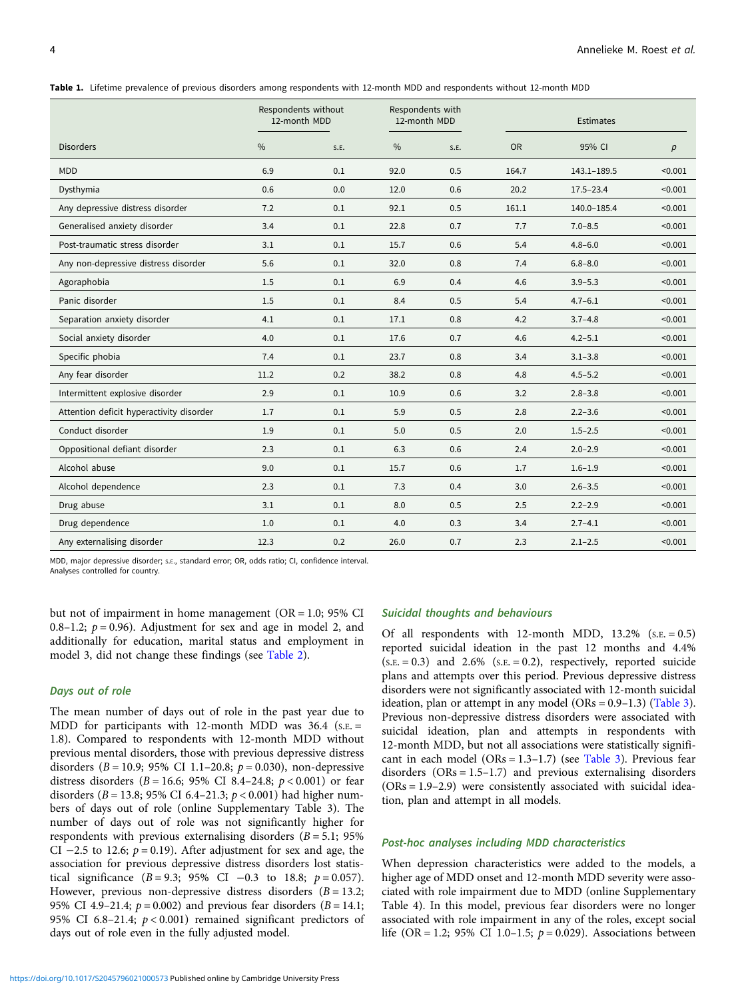<span id="page-3-0"></span>Table 1. Lifetime prevalence of previous disorders among respondents with 12-month MDD and respondents without 12-month MDD

|                                          |               | Respondents without<br>12-month MDD |      | Respondents with<br>12-month MDD |           | Estimates     |         |  |  |
|------------------------------------------|---------------|-------------------------------------|------|----------------------------------|-----------|---------------|---------|--|--|
| <b>Disorders</b>                         | $\frac{0}{0}$ | S.E.                                | $\%$ | S.E.                             | <b>OR</b> | 95% CI        | p       |  |  |
| MDD                                      | 6.9           | 0.1                                 | 92.0 | 0.5                              | 164.7     | 143.1-189.5   | < 0.001 |  |  |
| Dysthymia                                | 0.6           | 0.0                                 | 12.0 | 0.6                              | 20.2      | $17.5 - 23.4$ | < 0.001 |  |  |
| Any depressive distress disorder         | 7.2           | 0.1                                 | 92.1 | 0.5                              | 161.1     | 140.0-185.4   | < 0.001 |  |  |
| Generalised anxiety disorder             | 3.4           | 0.1                                 | 22.8 | 0.7                              | 7.7       | $7.0 - 8.5$   | < 0.001 |  |  |
| Post-traumatic stress disorder           | 3.1           | 0.1                                 | 15.7 | 0.6                              | 5.4       | $4.8 - 6.0$   | < 0.001 |  |  |
| Any non-depressive distress disorder     | 5.6           | 0.1                                 | 32.0 | 0.8                              | 7.4       | $6.8 - 8.0$   | < 0.001 |  |  |
| Agoraphobia                              | 1.5           | 0.1                                 | 6.9  | 0.4                              | 4.6       | $3.9 - 5.3$   | < 0.001 |  |  |
| Panic disorder                           | 1.5           | 0.1                                 | 8.4  | 0.5                              | 5.4       | $4.7 - 6.1$   | < 0.001 |  |  |
| Separation anxiety disorder              | 4.1           | 0.1                                 | 17.1 | 0.8                              | 4.2       | $3.7 - 4.8$   | < 0.001 |  |  |
| Social anxiety disorder                  | 4.0           | 0.1                                 | 17.6 | 0.7                              | 4.6       | $4.2 - 5.1$   | < 0.001 |  |  |
| Specific phobia                          | 7.4           | 0.1                                 | 23.7 | 0.8                              | 3.4       | $3.1 - 3.8$   | < 0.001 |  |  |
| Any fear disorder                        | 11.2          | 0.2                                 | 38.2 | 0.8                              | 4.8       | $4.5 - 5.2$   | < 0.001 |  |  |
| Intermittent explosive disorder          | 2.9           | 0.1                                 | 10.9 | 0.6                              | 3.2       | $2.8 - 3.8$   | < 0.001 |  |  |
| Attention deficit hyperactivity disorder | 1.7           | 0.1                                 | 5.9  | 0.5                              | 2.8       | $2.2 - 3.6$   | < 0.001 |  |  |
| Conduct disorder                         | 1.9           | 0.1                                 | 5.0  | 0.5                              | 2.0       | $1.5 - 2.5$   | < 0.001 |  |  |
| Oppositional defiant disorder            | 2.3           | 0.1                                 | 6.3  | 0.6                              | 2.4       | $2.0 - 2.9$   | < 0.001 |  |  |
| Alcohol abuse                            | 9.0           | 0.1                                 | 15.7 | 0.6                              | 1.7       | $1.6 - 1.9$   | < 0.001 |  |  |
| Alcohol dependence                       | 2.3           | 0.1                                 | 7.3  | 0.4                              | 3.0       | $2.6 - 3.5$   | < 0.001 |  |  |
| Drug abuse                               | 3.1           | 0.1                                 | 8.0  | 0.5                              | 2.5       | $2.2 - 2.9$   | < 0.001 |  |  |
| Drug dependence                          | 1.0           | 0.1                                 | 4.0  | 0.3                              | 3.4       | $2.7 - 4.1$   | < 0.001 |  |  |
| Any externalising disorder               | 12.3          | 0.2                                 | 26.0 | 0.7                              | 2.3       | $2.1 - 2.5$   | < 0.001 |  |  |

MDD, major depressive disorder; S.E., standard error; OR, odds ratio; CI, confidence interval.

Analyses controlled for country.

but not of impairment in home management (OR = 1.0; 95% CI 0.8–1.2;  $p = 0.96$ ). Adjustment for sex and age in model 2, and additionally for education, marital status and employment in model 3, did not change these findings (see [Table 2\)](#page-4-0).

#### Days out of role

The mean number of days out of role in the past year due to MDD for participants with 12-month MDD was  $36.4$  (s.e. = 1.8). Compared to respondents with 12-month MDD without previous mental disorders, those with previous depressive distress disorders ( $B = 10.9$ ; 95% CI 1.1–20.8;  $p = 0.030$ ), non-depressive distress disorders ( $B = 16.6$ ; 95% CI 8.4–24.8;  $p < 0.001$ ) or fear disorders ( $B = 13.8$ ; 95% CI 6.4–21.3;  $p < 0.001$ ) had higher numbers of days out of role (online Supplementary Table 3). The number of days out of role was not significantly higher for respondents with previous externalising disorders  $(B = 5.1; 95\%)$ CI  $-2.5$  to 12.6;  $p = 0.19$ ). After adjustment for sex and age, the association for previous depressive distress disorders lost statistical significance (B = 9.3; 95% CI −0.3 to 18.8;  $p = 0.057$ ). However, previous non-depressive distress disorders  $(B = 13.2;$ 95% CI 4.9-21.4;  $p = 0.002$ ) and previous fear disorders ( $B = 14.1$ ; 95% CI 6.8-21.4;  $p < 0.001$ ) remained significant predictors of days out of role even in the fully adjusted model.

#### Suicidal thoughts and behaviours

Of all respondents with 12-month MDD,  $13.2\%$  (s.e. = 0.5) reported suicidal ideation in the past 12 months and 4.4%  $(S.E. = 0.3)$  and  $2.6\%$   $(S.E. = 0.2)$ , respectively, reported suicide plans and attempts over this period. Previous depressive distress disorders were not significantly associated with 12-month suicidal ideation, plan or attempt in any model  $(ORs = 0.9 - 1.3)$  [\(Table 3](#page-5-0)). Previous non-depressive distress disorders were associated with suicidal ideation, plan and attempts in respondents with 12-month MDD, but not all associations were statistically significant in each model  $(ORs = 1.3-1.7)$  (see [Table 3](#page-5-0)). Previous fear disorders (ORs = 1.5–1.7) and previous externalising disorders (ORs = 1.9–2.9) were consistently associated with suicidal ideation, plan and attempt in all models.

# Post-hoc analyses including MDD characteristics

When depression characteristics were added to the models, a higher age of MDD onset and 12-month MDD severity were associated with role impairment due to MDD (online Supplementary Table 4). In this model, previous fear disorders were no longer associated with role impairment in any of the roles, except social life (OR = 1.2; 95% CI 1.0–1.5;  $p = 0.029$ ). Associations between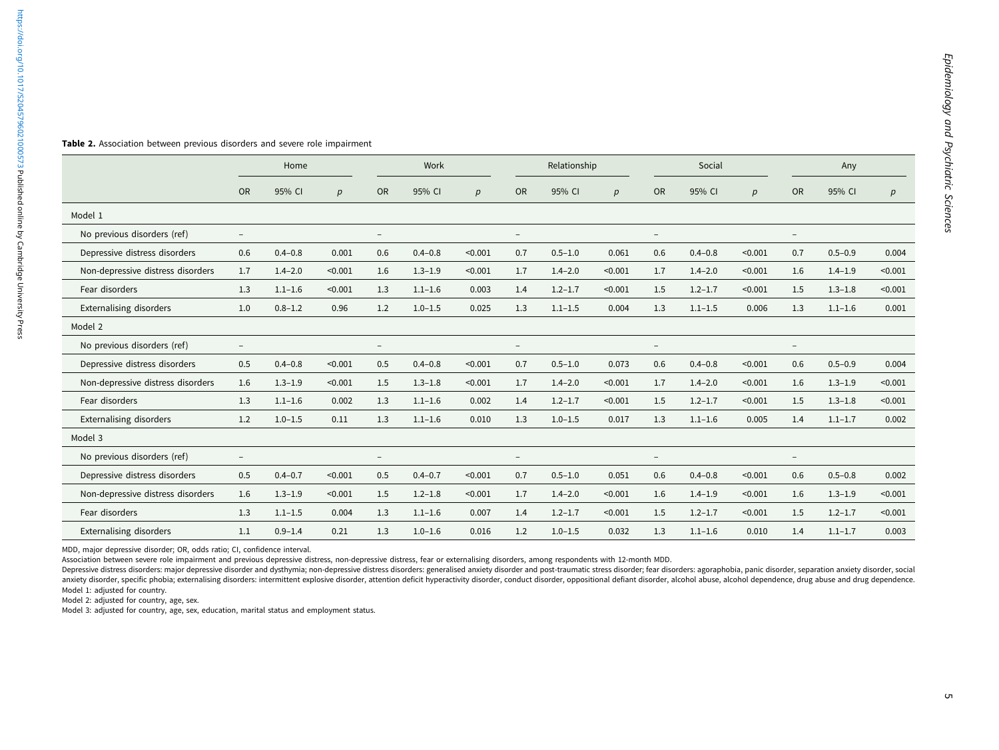#### <span id="page-4-0"></span>Table 2. Association between previous disorders and severe role impairment

|                                   |                          | Home        |         |                          | Work        |         |                          | Relationship |         |                          | Social      |         |                          | Any         |         |
|-----------------------------------|--------------------------|-------------|---------|--------------------------|-------------|---------|--------------------------|--------------|---------|--------------------------|-------------|---------|--------------------------|-------------|---------|
|                                   | <b>OR</b>                | 95% CI      | p       | <b>OR</b>                | 95% CI      | p       | <b>OR</b>                | 95% CI       | p       | <b>OR</b>                | 95% CI      | p       | <b>OR</b>                | 95% CI      | p       |
| Model 1                           |                          |             |         |                          |             |         |                          |              |         |                          |             |         |                          |             |         |
| No previous disorders (ref)       | $\overline{\phantom{a}}$ |             |         | $\overline{\phantom{a}}$ |             |         | $\overline{\phantom{0}}$ |              |         | -                        |             |         | $\overline{\phantom{a}}$ |             |         |
| Depressive distress disorders     | 0.6                      | $0.4 - 0.8$ | 0.001   | 0.6                      | $0.4 - 0.8$ | < 0.001 | 0.7                      | $0.5 - 1.0$  | 0.061   | 0.6                      | $0.4 - 0.8$ | < 0.001 | 0.7                      | $0.5 - 0.9$ | 0.004   |
| Non-depressive distress disorders | 1.7                      | $1.4 - 2.0$ | < 0.001 | 1.6                      | $1.3 - 1.9$ | < 0.001 | 1.7                      | $1.4 - 2.0$  | < 0.001 | 1.7                      | $1.4 - 2.0$ | < 0.001 | 1.6                      | $1.4 - 1.9$ | < 0.001 |
| Fear disorders                    | 1.3                      | $1.1 - 1.6$ | < 0.001 | 1.3                      | $1.1 - 1.6$ | 0.003   | 1.4                      | $1.2 - 1.7$  | < 0.001 | 1.5                      | $1.2 - 1.7$ | < 0.001 | 1.5                      | $1.3 - 1.8$ | < 0.001 |
| <b>Externalising disorders</b>    | 1.0                      | $0.8 - 1.2$ | 0.96    | 1.2                      | $1.0 - 1.5$ | 0.025   | 1.3                      | $1.1 - 1.5$  | 0.004   | 1.3                      | $1.1 - 1.5$ | 0.006   | 1.3                      | $1.1 - 1.6$ | 0.001   |
| Model 2                           |                          |             |         |                          |             |         |                          |              |         |                          |             |         |                          |             |         |
| No previous disorders (ref)       | $\overline{\phantom{a}}$ |             |         | $\overline{\phantom{a}}$ |             |         | $\overline{\phantom{a}}$ |              |         | $\overline{\phantom{a}}$ |             |         | $\overline{\phantom{m}}$ |             |         |
| Depressive distress disorders     | 0.5                      | $0.4 - 0.8$ | < 0.001 | 0.5                      | $0.4 - 0.8$ | < 0.001 | 0.7                      | $0.5 - 1.0$  | 0.073   | 0.6                      | $0.4 - 0.8$ | < 0.001 | 0.6                      | $0.5 - 0.9$ | 0.004   |
| Non-depressive distress disorders | 1.6                      | $1.3 - 1.9$ | < 0.001 | 1.5                      | $1.3 - 1.8$ | < 0.001 | 1.7                      | $1.4 - 2.0$  | < 0.001 | 1.7                      | $1.4 - 2.0$ | < 0.001 | 1.6                      | $1.3 - 1.9$ | < 0.001 |
| Fear disorders                    | 1.3                      | $1.1 - 1.6$ | 0.002   | 1.3                      | $1.1 - 1.6$ | 0.002   | 1.4                      | $1.2 - 1.7$  | < 0.001 | 1.5                      | $1.2 - 1.7$ | < 0.001 | 1.5                      | $1.3 - 1.8$ | < 0.001 |
| <b>Externalising disorders</b>    | 1.2                      | $1.0 - 1.5$ | 0.11    | 1.3                      | $1.1 - 1.6$ | 0.010   | 1.3                      | $1.0 - 1.5$  | 0.017   | 1.3                      | $1.1 - 1.6$ | 0.005   | 1.4                      | $1.1 - 1.7$ | 0.002   |
| Model 3                           |                          |             |         |                          |             |         |                          |              |         |                          |             |         |                          |             |         |
| No previous disorders (ref)       | $\overline{\phantom{a}}$ |             |         | $\overline{\phantom{a}}$ |             |         | $\overline{\phantom{a}}$ |              |         | $\overline{\phantom{a}}$ |             |         | $\overline{\phantom{a}}$ |             |         |
| Depressive distress disorders     | 0.5                      | $0.4 - 0.7$ | < 0.001 | 0.5                      | $0.4 - 0.7$ | < 0.001 | 0.7                      | $0.5 - 1.0$  | 0.051   | 0.6                      | $0.4 - 0.8$ | < 0.001 | 0.6                      | $0.5 - 0.8$ | 0.002   |
| Non-depressive distress disorders | 1.6                      | $1.3 - 1.9$ | < 0.001 | 1.5                      | $1.2 - 1.8$ | < 0.001 | 1.7                      | $1.4 - 2.0$  | < 0.001 | 1.6                      | $1.4 - 1.9$ | < 0.001 | 1.6                      | $1.3 - 1.9$ | < 0.001 |
| Fear disorders                    | 1.3                      | $1.1 - 1.5$ | 0.004   | 1.3                      | $1.1 - 1.6$ | 0.007   | 1.4                      | $1.2 - 1.7$  | < 0.001 | 1.5                      | $1.2 - 1.7$ | < 0.001 | 1.5                      | $1.2 - 1.7$ | < 0.001 |
| <b>Externalising disorders</b>    | 1.1                      | $0.9 - 1.4$ | 0.21    | 1.3                      | $1.0 - 1.6$ | 0.016   | 1.2                      | $1.0 - 1.5$  | 0.032   | 1.3                      | $1.1 - 1.6$ | 0.010   | 1.4                      | $1.1 - 1.7$ | 0.003   |

MDD, major depressive disorder; OR, odds ratio; CI, confidence interval.

Association between severe role impairment and previous depressive distress, non-depressive distress, fear or externalising disorders, among respondents with 12-month MDD.

Depressive distress disorders: major depressive disorder and dysthymia; non-depressive distress disorders: generalised anxiety disorder and post-traumatic stress disorder; fear disorders: agoraphobia, panic disorder, separ anxiety disorder, specific phobia; externalising disorders: intermittent explosive disorder, attention deficit hyperactivity disorder, conduct disorder, oppositional defiant disorder, alcohol abuse, alcohol dependence, dru Model 1: adjusted for country.

Model 2: adjusted for country, age, sex.

Model 3: adjusted for country, age, sex, education, marital status and employment status.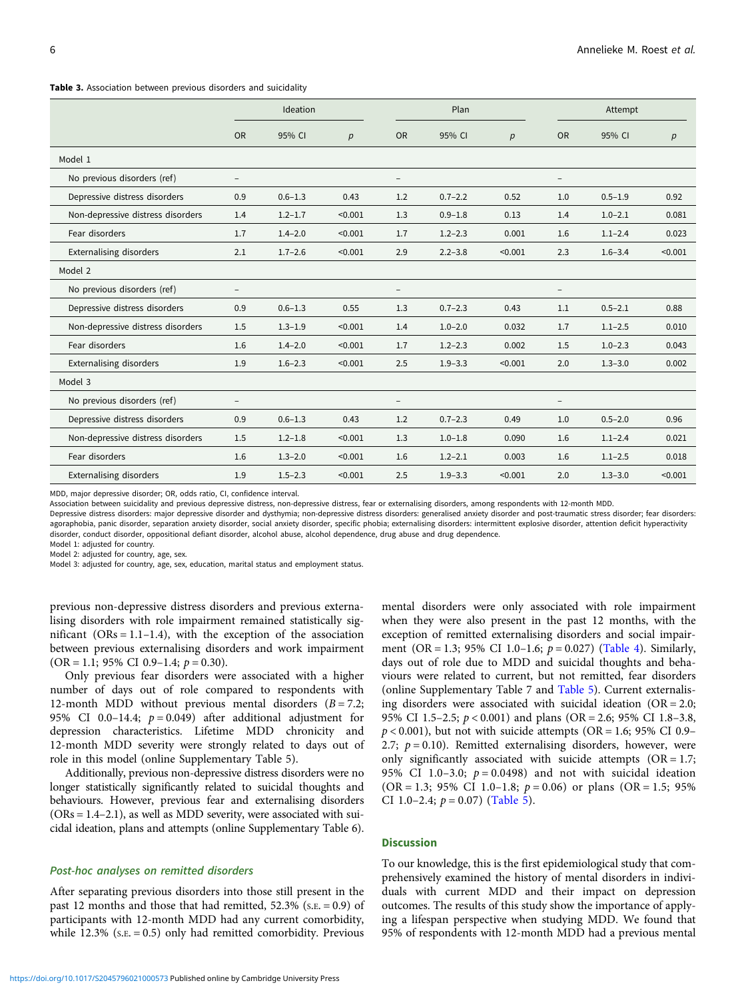#### Table 3. Association between previous disorders and suicidality

<span id="page-5-0"></span>

|                                   |                          | Ideation    |         |                          | Plan        |         |                          | Attempt     |         |
|-----------------------------------|--------------------------|-------------|---------|--------------------------|-------------|---------|--------------------------|-------------|---------|
|                                   | <b>OR</b>                | 95% CI      | p       | <b>OR</b>                | 95% CI      | p       | <b>OR</b>                | 95% CI      | p       |
| Model 1                           |                          |             |         |                          |             |         |                          |             |         |
| No previous disorders (ref)       | $\overline{\phantom{0}}$ |             |         |                          |             |         | $\overline{\phantom{0}}$ |             |         |
| Depressive distress disorders     | 0.9                      | $0.6 - 1.3$ | 0.43    | 1.2                      | $0.7 - 2.2$ | 0.52    | 1.0                      | $0.5 - 1.9$ | 0.92    |
| Non-depressive distress disorders | 1.4                      | $1.2 - 1.7$ | < 0.001 | 1.3                      | $0.9 - 1.8$ | 0.13    | 1.4                      | $1.0 - 2.1$ | 0.081   |
| Fear disorders                    | 1.7                      | $1.4 - 2.0$ | < 0.001 | 1.7                      | $1.2 - 2.3$ | 0.001   | 1.6                      | $1.1 - 2.4$ | 0.023   |
| <b>Externalising disorders</b>    | 2.1                      | $1.7 - 2.6$ | < 0.001 | 2.9                      | $2.2 - 3.8$ | < 0.001 | 2.3                      | $1.6 - 3.4$ | < 0.001 |
| Model 2                           |                          |             |         |                          |             |         |                          |             |         |
| No previous disorders (ref)       | $\overline{\phantom{0}}$ |             |         | $\qquad \qquad -$        |             |         | $\overline{\phantom{0}}$ |             |         |
| Depressive distress disorders     | 0.9                      | $0.6 - 1.3$ | 0.55    | 1.3                      | $0.7 - 2.3$ | 0.43    | 1.1                      | $0.5 - 2.1$ | 0.88    |
| Non-depressive distress disorders | 1.5                      | $1.3 - 1.9$ | < 0.001 | 1.4                      | $1.0 - 2.0$ | 0.032   | 1.7                      | $1.1 - 2.5$ | 0.010   |
| Fear disorders                    | 1.6                      | $1.4 - 2.0$ | < 0.001 | 1.7                      | $1.2 - 2.3$ | 0.002   | 1.5                      | $1.0 - 2.3$ | 0.043   |
| <b>Externalising disorders</b>    | 1.9                      | $1.6 - 2.3$ | < 0.001 | 2.5                      | $1.9 - 3.3$ | < 0.001 | 2.0                      | $1.3 - 3.0$ | 0.002   |
| Model 3                           |                          |             |         |                          |             |         |                          |             |         |
| No previous disorders (ref)       | $\overline{\phantom{0}}$ |             |         | $\overline{\phantom{0}}$ |             |         | $\overline{\phantom{0}}$ |             |         |
| Depressive distress disorders     | 0.9                      | $0.6 - 1.3$ | 0.43    | 1.2                      | $0.7 - 2.3$ | 0.49    | 1.0                      | $0.5 - 2.0$ | 0.96    |
| Non-depressive distress disorders | 1.5                      | $1.2 - 1.8$ | < 0.001 | 1.3                      | $1.0 - 1.8$ | 0.090   | 1.6                      | $1.1 - 2.4$ | 0.021   |
| Fear disorders                    | 1.6                      | $1.3 - 2.0$ | < 0.001 | 1.6                      | $1.2 - 2.1$ | 0.003   | 1.6                      | $1.1 - 2.5$ | 0.018   |
| <b>Externalising disorders</b>    | 1.9                      | $1.5 - 2.3$ | < 0.001 | 2.5                      | $1.9 - 3.3$ | < 0.001 | 2.0                      | $1.3 - 3.0$ | < 0.001 |

MDD, major depressive disorder; OR, odds ratio, CI, confidence interval.

Association between suicidality and previous depressive distress, non-depressive distress, fear or externalising disorders, among respondents with 12-month MDD.

Depressive distress disorders: major depressive disorder and dysthymia; non-depressive distress disorders: generalised anxiety disorder and post-traumatic stress disorder; fear disorders: agoraphobia, panic disorder, separation anxiety disorder, social anxiety disorder, specific phobia; externalising disorders: intermittent explosive disorder, attention deficit hyperactivity disorder, conduct disorder, oppositional defiant disorder, alcohol abuse, alcohol dependence, drug abuse and drug dependence.

Model 1: adjusted for country.

Model 2: adjusted for country, age, sex.

Model 3: adjusted for country, age, sex, education, marital status and employment status.

previous non-depressive distress disorders and previous externalising disorders with role impairment remained statistically significant ( $ORs = 1.1-1.4$ ), with the exception of the association between previous externalising disorders and work impairment  $(OR = 1.1; 95\% CI 0.9-1.4; p = 0.30).$ 

Only previous fear disorders were associated with a higher number of days out of role compared to respondents with 12-month MDD without previous mental disorders  $(B = 7.2;$ 95% CI 0.0–14.4;  $p = 0.049$ ) after additional adjustment for depression characteristics. Lifetime MDD chronicity and 12-month MDD severity were strongly related to days out of role in this model (online Supplementary Table 5).

Additionally, previous non-depressive distress disorders were no longer statistically significantly related to suicidal thoughts and behaviours. However, previous fear and externalising disorders  $(ORs = 1.4-2.1)$ , as well as MDD severity, were associated with suicidal ideation, plans and attempts (online Supplementary Table 6).

#### Post-hoc analyses on remitted disorders

After separating previous disorders into those still present in the past 12 months and those that had remitted,  $52.3\%$  (s.e. = 0.9) of participants with 12-month MDD had any current comorbidity, while  $12.3\%$  (s.e. = 0.5) only had remitted comorbidity. Previous

mental disorders were only associated with role impairment when they were also present in the past 12 months, with the exception of remitted externalising disorders and social impairment (OR = 1.3; 95% CI 1.0–1.6;  $p = 0.027$ ) [\(Table 4](#page-6-0)). Similarly, days out of role due to MDD and suicidal thoughts and behaviours were related to current, but not remitted, fear disorders (online Supplementary Table 7 and [Table 5\)](#page-7-0). Current externalising disorders were associated with suicidal ideation  $(OR = 2.0;$ 95% CI 1.5–2.5; p < 0.001) and plans (OR = 2.6; 95% CI 1.8–3.8,  $p < 0.001$ ), but not with suicide attempts (OR = 1.6; 95% CI 0.9– 2.7;  $p = 0.10$ ). Remitted externalising disorders, however, were only significantly associated with suicide attempts  $(OR = 1.7;$ 95% CI 1.0-3.0;  $p = 0.0498$ ) and not with suicidal ideation (OR = 1.3; 95% CI 1.0-1.8;  $p = 0.06$ ) or plans (OR = 1.5; 95% CI 1.0–2.4;  $p = 0.07$ ) [\(Table 5\)](#page-7-0).

## **Discussion**

To our knowledge, this is the first epidemiological study that comprehensively examined the history of mental disorders in individuals with current MDD and their impact on depression outcomes. The results of this study show the importance of applying a lifespan perspective when studying MDD. We found that 95% of respondents with 12-month MDD had a previous mental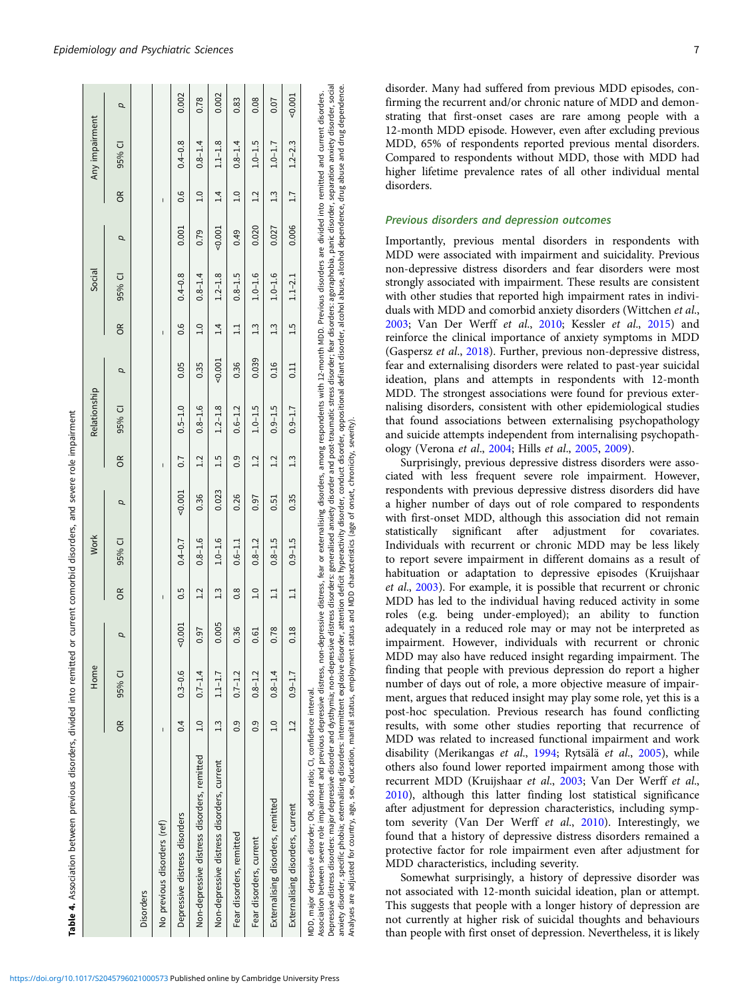<span id="page-6-0"></span>

|                                                                                                                                                                                                                                                                                                                                                                                                                                                                                                                                                                                                                                                                                                                                                                            |                | Home        |          |               | <b>Work</b> |        |               | Relationship |          |               | Social      |          |               | Any impairment |        |
|----------------------------------------------------------------------------------------------------------------------------------------------------------------------------------------------------------------------------------------------------------------------------------------------------------------------------------------------------------------------------------------------------------------------------------------------------------------------------------------------------------------------------------------------------------------------------------------------------------------------------------------------------------------------------------------------------------------------------------------------------------------------------|----------------|-------------|----------|---------------|-------------|--------|---------------|--------------|----------|---------------|-------------|----------|---------------|----------------|--------|
|                                                                                                                                                                                                                                                                                                                                                                                                                                                                                                                                                                                                                                                                                                                                                                            | $\approx$      | 95% CI      | p        | $\approx$     | 95% CI      | p      | $\frac{8}{2}$ | 95% CI       | p        | $\frac{8}{2}$ | 95% CI      | p        | $\approx$     | 95% CI         | p      |
| <b>Disorders</b>                                                                                                                                                                                                                                                                                                                                                                                                                                                                                                                                                                                                                                                                                                                                                           |                |             |          |               |             |        |               |              |          |               |             |          |               |                |        |
| No previous disorders (ref)                                                                                                                                                                                                                                                                                                                                                                                                                                                                                                                                                                                                                                                                                                                                                | I              |             |          | $\mathbf{I}$  |             |        | $\mathbf{I}$  |              |          | $\mathbf{I}$  |             |          | $\mathbf{I}$  |                |        |
| Depressive distress disorders                                                                                                                                                                                                                                                                                                                                                                                                                                                                                                                                                                                                                                                                                                                                              | 0.4            | $0.3 - 0.6$ | $-0.001$ | 0.5           | $0.4 - 0.7$ | 50.001 | 0.7           | $0.5 - 1.0$  | 0.05     | 0.6           | $0.4 - 0.8$ | 0.001    | 0.6           | $0.4 - 0.8$    | 0.002  |
| Non-depressive distress disorders, remitted                                                                                                                                                                                                                                                                                                                                                                                                                                                                                                                                                                                                                                                                                                                                | $\frac{0}{1}$  | $0.7 - 1.4$ | 0.97     | 1.2           | $0.8 - 1.6$ | 0.36   | 1.2           | $0.8 - 1.6$  | 0.35     | 1.0           | $0.8 - 1.4$ | 0.79     | 1.0           | $0.8 - 1.4$    | 0.78   |
| Non-depressive distress disorders, current                                                                                                                                                                                                                                                                                                                                                                                                                                                                                                                                                                                                                                                                                                                                 | $\frac{3}{1}$  | $1.1 - 1.7$ | 0.005    | $\frac{3}{4}$ | $1.0 - 1.6$ | 0.023  | 1.5           | $1.2 - 1.8$  | $-0.001$ | 14            | $1.2 - 1.8$ | $-0.001$ | $\frac{4}{1}$ | $1.1 - 1.8$    | 0.002  |
| Fear disorders, remitted                                                                                                                                                                                                                                                                                                                                                                                                                                                                                                                                                                                                                                                                                                                                                   | 0.9            | $0.7 - 1.2$ | 0.36     | 0.8           | $0.6 - 1.1$ | 0.26   | 0.9           | $0.6 - 1.2$  | 0.36     | $\Xi$         | $0.8 - 1.5$ | 0.49     | 1.0           | $0.8 - 1.4$    | 0.83   |
| Fear disorders, current                                                                                                                                                                                                                                                                                                                                                                                                                                                                                                                                                                                                                                                                                                                                                    | $\ddot{0}$     | $0.8 - 1.2$ | 0.61     | 1.0           | $0.8 - 1.2$ | 0.97   | 1.2           | $1.0 - 1.5$  | 0.039    | 1.3           | $1.0 - 1.6$ | 0.020    | 1.2           | $1.0 - 1.5$    | 0.08   |
| Externalising disorders, remitted                                                                                                                                                                                                                                                                                                                                                                                                                                                                                                                                                                                                                                                                                                                                          | $\frac{1}{10}$ | $0.8 - 1.4$ | 0.78     | $\Xi$         | $0.8 - 1.5$ | 0.51   | 1.2           | $0.9 - 1.5$  | 0.16     | 1.3           | $1.0 - 1.6$ | 0.027    | $\frac{1}{1}$ | $1.0 - 1.7$    | 0.07   |
| Externalising disorders, current                                                                                                                                                                                                                                                                                                                                                                                                                                                                                                                                                                                                                                                                                                                                           | 12             | $0.9 - 1.7$ | 0.18     | $\Xi$         | $0.9 - 1.5$ | 0.35   | 1.3           | $0.9 - 1.7$  | 0.11     | 1.5           | $1.1 - 2.1$ | 0.006    | 1.7           | $1.2 - 2.3$    | 50.001 |
| anxiety disorder, specific phobia, externalising disorders: intermittent explosive disorder, attention deficit hyperactivity disorder, conduct disorder, oppositional defiant disorder, alcohol abuse, alcohol dependence, dru<br>Depressive distress disorders. major depressive distrigtion and obstributes about distributes disorder and post-traumatic stress disorder; fear disorders agoraphobia, panic disorders separation anxiety disorder, social<br>Association between severe role impairment and previous depressive distress, non-depressive distress, fear or externalising disorders, among respondents with 12-month MDD. Previous disorders are divided into remitted and c<br>MDD, major depressive disorder; OR, odds ratio; CI, confidence interval. |                |             |          |               |             |        |               |              |          |               |             |          |               |                |        |

Analyses are adjusted for country, age, sex, education, marital status, employment status and MDD characteristics (age of onset, chronicity, severity).

halyses are adjusted for country, age, sex, education, marital status, employment status and MDD characteristics (age of onset, chronicity, severity).

Association between previous disorders, divided into remitted or current comorbid disorders, and severe role impairment Ĵ J

disorder. Many had suffered from previous MDD episodes, confirming the recurrent and/or chronic nature of MDD and demonstrating that first-onset cases are rare among people with a 12-month MDD episode. However, even after excluding previous MDD, 65% of respondents reported previous mental disorders. Compared to respondents without MDD, those with MDD had higher lifetime prevalence rates of all other individual mental disorders.

# Previous disorders and depression outcomes

Importantly, previous mental disorders in respondents with MDD were associated with impairment and suicidality. Previous non-depressive distress disorders and fear disorders were most strongly associated with impairment. These results are consistent with other studies that reported high impairment rates in individuals with MDD and comorbid anxiety disorders (Wittchen et al., [2003](#page-10-0); Van Der Werff et al., [2010](#page-10-0); Kessler et al., [2015\)](#page-10-0) and reinforce the clinical importance of anxiety symptoms in MDD (Gaspersz et al., [2018\)](#page-9-0). Further, previous non-depressive distress, fear and externalising disorders were related to past-year suicidal ideation, plans and attempts in respondents with 12-month MDD. The strongest associations were found for previous externalising disorders, consistent with other epidemiological studies that found associations between externalising psychopathology and suicide attempts independent from internalising psychopathology (Verona et al., [2004](#page-10-0); Hills et al., [2005](#page-10-0), [2009\)](#page-10-0).

Surprisingly, previous depressive distress disorders were associated with less frequent severe role impairment. However, respondents with previous depressive distress disorders did have a higher number of days out of role compared to respondents with first-onset MDD, although this association did not remain statistically significant after adjustment for covariates. Individuals with recurrent or chronic MDD may be less likely to report severe impairment in different domains as a result of habituation or adaptation to depressive episodes (Kruijshaar et al., [2003](#page-10-0)). For example, it is possible that recurrent or chronic MDD has led to the individual having reduced activity in some roles (e.g. being under-employed); an ability to function adequately in a reduced role may or may not be interpreted as impairment. However, individuals with recurrent or chronic MDD may also have reduced insight regarding impairment. The finding that people with previous depression do report a higher number of days out of role, a more objective measure of impairment, argues that reduced insight may play some role, yet this is a post-hoc speculation. Previous research has found conflicting results, with some other studies reporting that recurrence of MDD was related to increased functional impairment and work disability (Merikangas et al., [1994](#page-10-0); Rytsälä et al., [2005](#page-10-0)), while others also found lower reported impairment among those with recurrent MDD (Kruijshaar et al., [2003](#page-10-0); Van Der Werff et al., [2010](#page-10-0)), although this latter finding lost statistical significance after adjustment for depression characteristics, including symptom severity (Van Der Werff et al., [2010\)](#page-10-0). Interestingly, we found that a history of depressive distress disorders remained a protective factor for role impairment even after adjustment for MDD characteristics, including severity.

Somewhat surprisingly, a history of depressive disorder was not associated with 12-month suicidal ideation, plan or attempt. This suggests that people with a longer history of depression are not currently at higher risk of suicidal thoughts and behaviours than people with first onset of depression. Nevertheless, it is likely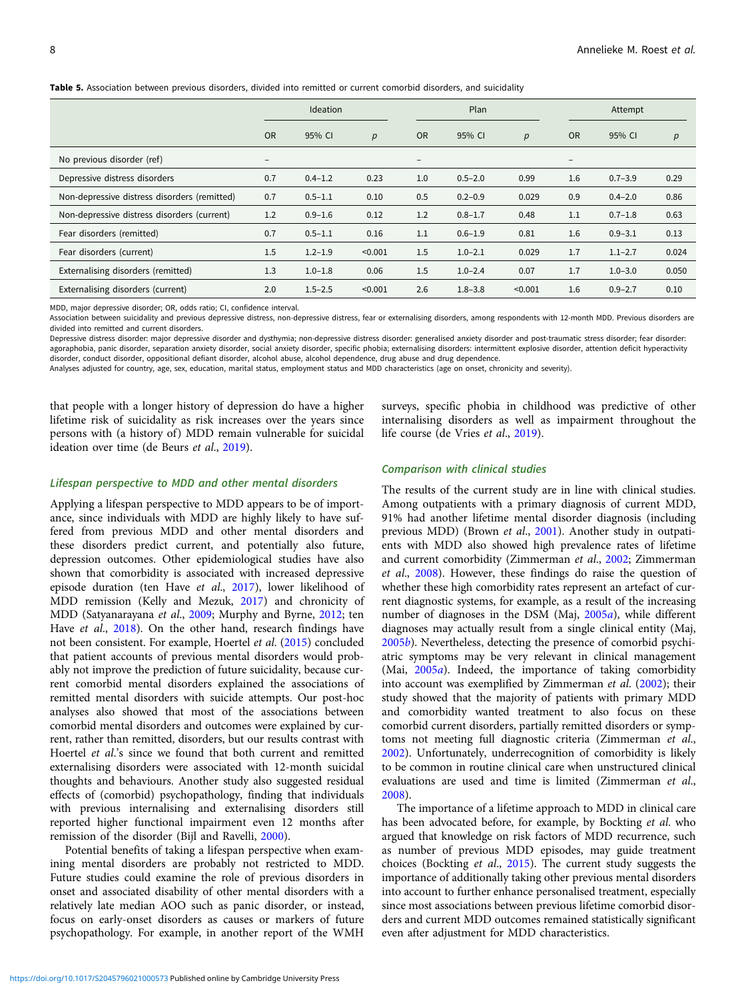<span id="page-7-0"></span>Table 5. Association between previous disorders, divided into remitted or current comorbid disorders, and suicidality

|                                              |                          | Ideation    |         |                   | Plan        |         |                   | Attempt     |       |
|----------------------------------------------|--------------------------|-------------|---------|-------------------|-------------|---------|-------------------|-------------|-------|
|                                              | <b>OR</b>                | 95% CI      | p       | <b>OR</b>         | 95% CI      | p       | <b>OR</b>         | 95% CI      | p     |
| No previous disorder (ref)                   | $\overline{\phantom{0}}$ |             |         | $\qquad \qquad -$ |             |         | $\qquad \qquad -$ |             |       |
| Depressive distress disorders                | 0.7                      | $0.4 - 1.2$ | 0.23    | 1.0               | $0.5 - 2.0$ | 0.99    | 1.6               | $0.7 - 3.9$ | 0.29  |
| Non-depressive distress disorders (remitted) | 0.7                      | $0.5 - 1.1$ | 0.10    | 0.5               | $0.2 - 0.9$ | 0.029   | 0.9               | $0.4 - 2.0$ | 0.86  |
| Non-depressive distress disorders (current)  | 1.2                      | $0.9 - 1.6$ | 0.12    | 1.2               | $0.8 - 1.7$ | 0.48    | 1.1               | $0.7 - 1.8$ | 0.63  |
| Fear disorders (remitted)                    | 0.7                      | $0.5 - 1.1$ | 0.16    | 1.1               | $0.6 - 1.9$ | 0.81    | 1.6               | $0.9 - 3.1$ | 0.13  |
| Fear disorders (current)                     | 1.5                      | $1.2 - 1.9$ | < 0.001 | 1.5               | $1.0 - 2.1$ | 0.029   | 1.7               | $1.1 - 2.7$ | 0.024 |
| Externalising disorders (remitted)           | 1.3                      | $1.0 - 1.8$ | 0.06    | 1.5               | $1.0 - 2.4$ | 0.07    | 1.7               | $1.0 - 3.0$ | 0.050 |
| Externalising disorders (current)            | 2.0                      | $1.5 - 2.5$ | < 0.001 | 2.6               | $1.8 - 3.8$ | < 0.001 | 1.6               | $0.9 - 2.7$ | 0.10  |

MDD, major depressive disorder; OR, odds ratio; CI, confidence interval.

Association between suicidality and previous depressive distress, non-depressive distress, fear or externalising disorders, among respondents with 12-month MDD. Previous disorders are divided into remitted and current disorders.

Depressive distress disorder: major depressive disorder and dysthymia; non-depressive distress disorder: generalised anxiety disorder and post-traumatic stress disorder; fear disorder: agoraphobia, panic disorder, separation anxiety disorder, social anxiety disorder, specific phobia; externalising disorders: intermittent explosive disorder, attention deficit hyperactivity

disorder, conduct disorder, oppositional defiant disorder, alcohol abuse, alcohol dependence, drug abuse and drug dependence.

Analyses adjusted for country, age, sex, education, marital status, employment status and MDD characteristics (age on onset, chronicity and severity).

that people with a longer history of depression do have a higher lifetime risk of suicidality as risk increases over the years since persons with (a history of) MDD remain vulnerable for suicidal ideation over time (de Beurs et al., [2019](#page-9-0)).

surveys, specific phobia in childhood was predictive of other internalising disorders as well as impairment throughout the life course (de Vries et al., [2019\)](#page-9-0).

# Lifespan perspective to MDD and other mental disorders

Applying a lifespan perspective to MDD appears to be of importance, since individuals with MDD are highly likely to have suffered from previous MDD and other mental disorders and these disorders predict current, and potentially also future, depression outcomes. Other epidemiological studies have also shown that comorbidity is associated with increased depressive episode duration (ten Have et al., [2017](#page-10-0)), lower likelihood of MDD remission (Kelly and Mezuk, [2017](#page-10-0)) and chronicity of MDD (Satyanarayana et al., [2009](#page-10-0); Murphy and Byrne, [2012;](#page-10-0) ten Have et al., [2018](#page-10-0)). On the other hand, research findings have not been consistent. For example, Hoertel et al. ([2015](#page-10-0)) concluded that patient accounts of previous mental disorders would probably not improve the prediction of future suicidality, because current comorbid mental disorders explained the associations of remitted mental disorders with suicide attempts. Our post-hoc analyses also showed that most of the associations between comorbid mental disorders and outcomes were explained by current, rather than remitted, disorders, but our results contrast with Hoertel et al.'s since we found that both current and remitted externalising disorders were associated with 12-month suicidal thoughts and behaviours. Another study also suggested residual effects of (comorbid) psychopathology, finding that individuals with previous internalising and externalising disorders still reported higher functional impairment even 12 months after remission of the disorder (Bijl and Ravelli, [2000](#page-9-0)).

Potential benefits of taking a lifespan perspective when examining mental disorders are probably not restricted to MDD. Future studies could examine the role of previous disorders in onset and associated disability of other mental disorders with a relatively late median AOO such as panic disorder, or instead, focus on early-onset disorders as causes or markers of future psychopathology. For example, in another report of the WMH

#### Comparison with clinical studies

The results of the current study are in line with clinical studies. Among outpatients with a primary diagnosis of current MDD, 91% had another lifetime mental disorder diagnosis (including previous MDD) (Brown et al., [2001](#page-9-0)). Another study in outpatients with MDD also showed high prevalence rates of lifetime and current comorbidity (Zimmerman et al., [2002](#page-10-0); Zimmerman et al., [2008\)](#page-10-0). However, these findings do raise the question of whether these high comorbidity rates represent an artefact of current diagnostic systems, for example, as a result of the increasing number of diagnoses in the DSM (Maj, [2005](#page-10-0)a), while different diagnoses may actually result from a single clinical entity (Maj, [2005](#page-10-0)b). Nevertheless, detecting the presence of comorbid psychiatric symptoms may be very relevant in clinical management (Mai, [2005](#page-10-0)a). Indeed, the importance of taking comorbidity into account was exemplified by Zimmerman et al. [\(2002](#page-10-0)); their study showed that the majority of patients with primary MDD and comorbidity wanted treatment to also focus on these comorbid current disorders, partially remitted disorders or symptoms not meeting full diagnostic criteria (Zimmerman et al., [2002\)](#page-10-0). Unfortunately, underrecognition of comorbidity is likely to be common in routine clinical care when unstructured clinical evaluations are used and time is limited (Zimmerman et al., [2008\)](#page-10-0).

The importance of a lifetime approach to MDD in clinical care has been advocated before, for example, by Bockting et al. who argued that knowledge on risk factors of MDD recurrence, such as number of previous MDD episodes, may guide treatment choices (Bockting et al., [2015](#page-9-0)). The current study suggests the importance of additionally taking other previous mental disorders into account to further enhance personalised treatment, especially since most associations between previous lifetime comorbid disorders and current MDD outcomes remained statistically significant even after adjustment for MDD characteristics.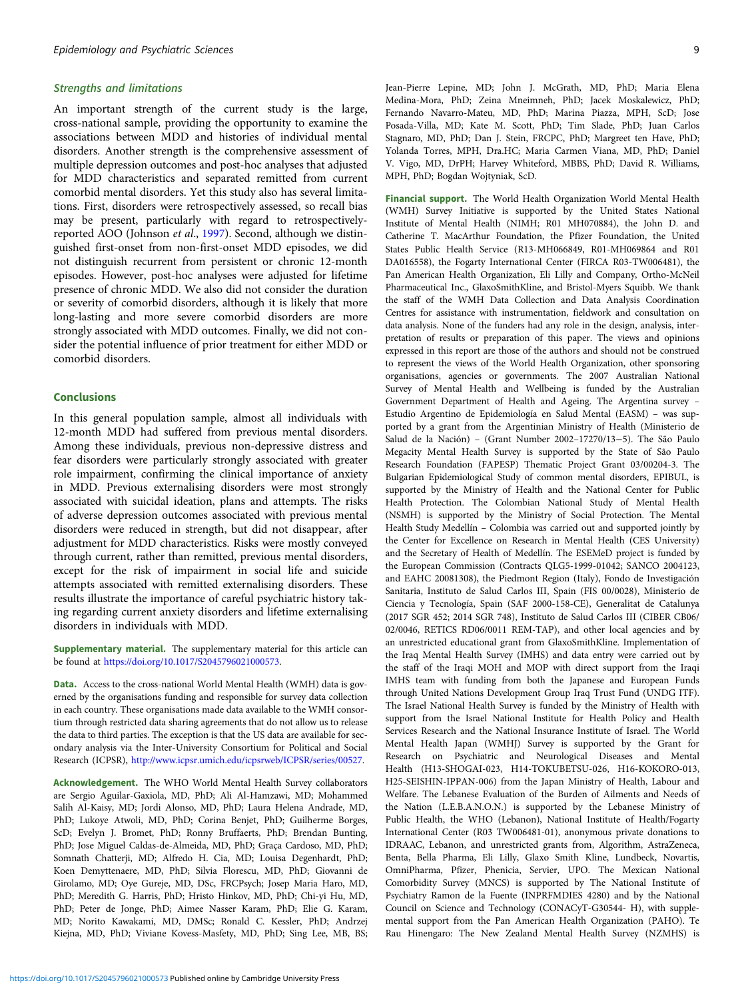#### Strengths and limitations

An important strength of the current study is the large, cross-national sample, providing the opportunity to examine the associations between MDD and histories of individual mental disorders. Another strength is the comprehensive assessment of multiple depression outcomes and post-hoc analyses that adjusted for MDD characteristics and separated remitted from current comorbid mental disorders. Yet this study also has several limitations. First, disorders were retrospectively assessed, so recall bias may be present, particularly with regard to retrospectivelyreported AOO (Johnson et al., [1997\)](#page-10-0). Second, although we distinguished first-onset from non-first-onset MDD episodes, we did not distinguish recurrent from persistent or chronic 12-month episodes. However, post-hoc analyses were adjusted for lifetime presence of chronic MDD. We also did not consider the duration or severity of comorbid disorders, although it is likely that more long-lasting and more severe comorbid disorders are more strongly associated with MDD outcomes. Finally, we did not consider the potential influence of prior treatment for either MDD or comorbid disorders.

# **Conclusions**

In this general population sample, almost all individuals with 12-month MDD had suffered from previous mental disorders. Among these individuals, previous non-depressive distress and fear disorders were particularly strongly associated with greater role impairment, confirming the clinical importance of anxiety in MDD. Previous externalising disorders were most strongly associated with suicidal ideation, plans and attempts. The risks of adverse depression outcomes associated with previous mental disorders were reduced in strength, but did not disappear, after adjustment for MDD characteristics. Risks were mostly conveyed through current, rather than remitted, previous mental disorders, except for the risk of impairment in social life and suicide attempts associated with remitted externalising disorders. These results illustrate the importance of careful psychiatric history taking regarding current anxiety disorders and lifetime externalising disorders in individuals with MDD.

Supplementary material. The supplementary material for this article can be found at [https://doi.org/10.1017/S2045796021000573.](https://doi.org/10.1017/S2045796021000573)

Data. Access to the cross-national World Mental Health (WMH) data is governed by the organisations funding and responsible for survey data collection in each country. These organisations made data available to the WMH consortium through restricted data sharing agreements that do not allow us to release the data to third parties. The exception is that the US data are available for secondary analysis via the Inter-University Consortium for Political and Social Research (ICPSR), [http://www.icpsr.umich.edu/icpsrweb/ICPSR/series/00527.](http://www.icpsr.umich.edu/icpsrweb/ICPSR/series/00527)

Acknowledgement. The WHO World Mental Health Survey collaborators are Sergio Aguilar-Gaxiola, MD, PhD; Ali Al-Hamzawi, MD; Mohammed Salih Al-Kaisy, MD; Jordi Alonso, MD, PhD; Laura Helena Andrade, MD, PhD; Lukoye Atwoli, MD, PhD; Corina Benjet, PhD; Guilherme Borges, ScD; Evelyn J. Bromet, PhD; Ronny Bruffaerts, PhD; Brendan Bunting, PhD; Jose Miguel Caldas-de-Almeida, MD, PhD; Graça Cardoso, MD, PhD; Somnath Chatterji, MD; Alfredo H. Cia, MD; Louisa Degenhardt, PhD; Koen Demyttenaere, MD, PhD; Silvia Florescu, MD, PhD; Giovanni de Girolamo, MD; Oye Gureje, MD, DSc, FRCPsych; Josep Maria Haro, MD, PhD; Meredith G. Harris, PhD; Hristo Hinkov, MD, PhD; Chi-yi Hu, MD, PhD; Peter de Jonge, PhD; Aimee Nasser Karam, PhD; Elie G. Karam, MD; Norito Kawakami, MD, DMSc; Ronald C. Kessler, PhD; Andrzej Kiejna, MD, PhD; Viviane Kovess-Masfety, MD, PhD; Sing Lee, MB, BS;

Jean-Pierre Lepine, MD; John J. McGrath, MD, PhD; Maria Elena Medina-Mora, PhD; Zeina Mneimneh, PhD; Jacek Moskalewicz, PhD; Fernando Navarro-Mateu, MD, PhD; Marina Piazza, MPH, ScD; Jose Posada-Villa, MD; Kate M. Scott, PhD; Tim Slade, PhD; Juan Carlos Stagnaro, MD, PhD; Dan J. Stein, FRCPC, PhD; Margreet ten Have, PhD; Yolanda Torres, MPH, Dra.HC; Maria Carmen Viana, MD, PhD; Daniel V. Vigo, MD, DrPH; Harvey Whiteford, MBBS, PhD; David R. Williams, MPH, PhD; Bogdan Wojtyniak, ScD.

Financial support. The World Health Organization World Mental Health (WMH) Survey Initiative is supported by the United States National Institute of Mental Health (NIMH; R01 MH070884), the John D. and Catherine T. MacArthur Foundation, the Pfizer Foundation, the United States Public Health Service (R13-MH066849, R01-MH069864 and R01 DA016558), the Fogarty International Center (FIRCA R03-TW006481), the Pan American Health Organization, Eli Lilly and Company, Ortho-McNeil Pharmaceutical Inc., GlaxoSmithKline, and Bristol-Myers Squibb. We thank the staff of the WMH Data Collection and Data Analysis Coordination Centres for assistance with instrumentation, fieldwork and consultation on data analysis. None of the funders had any role in the design, analysis, interpretation of results or preparation of this paper. The views and opinions expressed in this report are those of the authors and should not be construed to represent the views of the World Health Organization, other sponsoring organisations, agencies or governments. The 2007 Australian National Survey of Mental Health and Wellbeing is funded by the Australian Government Department of Health and Ageing. The Argentina survey – Estudio Argentino de Epidemiología en Salud Mental (EASM) – was supported by a grant from the Argentinian Ministry of Health (Ministerio de Salud de la Nación) – (Grant Number 2002–17270/13−5). The São Paulo Megacity Mental Health Survey is supported by the State of São Paulo Research Foundation (FAPESP) Thematic Project Grant 03/00204-3. The Bulgarian Epidemiological Study of common mental disorders, EPIBUL, is supported by the Ministry of Health and the National Center for Public Health Protection. The Colombian National Study of Mental Health (NSMH) is supported by the Ministry of Social Protection. The Mental Health Study Medellín – Colombia was carried out and supported jointly by the Center for Excellence on Research in Mental Health (CES University) and the Secretary of Health of Medellín. The ESEMeD project is funded by the European Commission (Contracts QLG5-1999-01042; SANCO 2004123, and EAHC 20081308), the Piedmont Region (Italy), Fondo de Investigación Sanitaria, Instituto de Salud Carlos III, Spain (FIS 00/0028), Ministerio de Ciencia y Tecnología, Spain (SAF 2000-158-CE), Generalitat de Catalunya (2017 SGR 452; 2014 SGR 748), Instituto de Salud Carlos III (CIBER CB06/ 02/0046, RETICS RD06/0011 REM-TAP), and other local agencies and by an unrestricted educational grant from GlaxoSmithKline. Implementation of the Iraq Mental Health Survey (IMHS) and data entry were carried out by the staff of the Iraqi MOH and MOP with direct support from the Iraqi IMHS team with funding from both the Japanese and European Funds through United Nations Development Group Iraq Trust Fund (UNDG ITF). The Israel National Health Survey is funded by the Ministry of Health with support from the Israel National Institute for Health Policy and Health Services Research and the National Insurance Institute of Israel. The World Mental Health Japan (WMHJ) Survey is supported by the Grant for Research on Psychiatric and Neurological Diseases and Mental Health (H13-SHOGAI-023, H14-TOKUBETSU-026, H16-KOKORO-013, H25-SEISHIN-IPPAN-006) from the Japan Ministry of Health, Labour and Welfare. The Lebanese Evaluation of the Burden of Ailments and Needs of the Nation (L.E.B.A.N.O.N.) is supported by the Lebanese Ministry of Public Health, the WHO (Lebanon), National Institute of Health/Fogarty International Center (R03 TW006481-01), anonymous private donations to IDRAAC, Lebanon, and unrestricted grants from, Algorithm, AstraZeneca, Benta, Bella Pharma, Eli Lilly, Glaxo Smith Kline, Lundbeck, Novartis, OmniPharma, Pfizer, Phenicia, Servier, UPO. The Mexican National Comorbidity Survey (MNCS) is supported by The National Institute of Psychiatry Ramon de la Fuente (INPRFMDIES 4280) and by the National Council on Science and Technology (CONACyT-G30544- H), with supplemental support from the Pan American Health Organization (PAHO). Te Rau Hinengaro: The New Zealand Mental Health Survey (NZMHS) is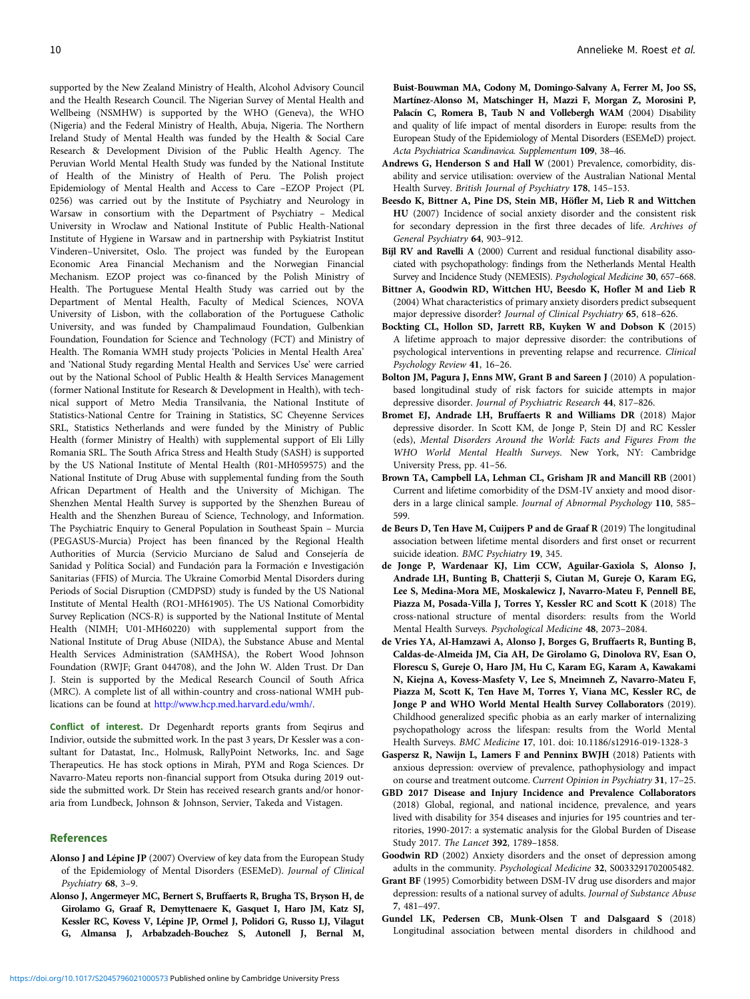<span id="page-9-0"></span>supported by the New Zealand Ministry of Health, Alcohol Advisory Council and the Health Research Council. The Nigerian Survey of Mental Health and Wellbeing (NSMHW) is supported by the WHO (Geneva), the WHO (Nigeria) and the Federal Ministry of Health, Abuja, Nigeria. The Northern Ireland Study of Mental Health was funded by the Health & Social Care Research & Development Division of the Public Health Agency. The Peruvian World Mental Health Study was funded by the National Institute of Health of the Ministry of Health of Peru. The Polish project Epidemiology of Mental Health and Access to Care –EZOP Project (PL 0256) was carried out by the Institute of Psychiatry and Neurology in Warsaw in consortium with the Department of Psychiatry – Medical University in Wroclaw and National Institute of Public Health-National Institute of Hygiene in Warsaw and in partnership with Psykiatrist Institut Vinderen–Universitet, Oslo. The project was funded by the European Economic Area Financial Mechanism and the Norwegian Financial Mechanism. EZOP project was co-financed by the Polish Ministry of Health. The Portuguese Mental Health Study was carried out by the Department of Mental Health, Faculty of Medical Sciences, NOVA University of Lisbon, with the collaboration of the Portuguese Catholic University, and was funded by Champalimaud Foundation, Gulbenkian Foundation, Foundation for Science and Technology (FCT) and Ministry of Health. The Romania WMH study projects 'Policies in Mental Health Area' and 'National Study regarding Mental Health and Services Use' were carried out by the National School of Public Health & Health Services Management (former National Institute for Research & Development in Health), with technical support of Metro Media Transilvania, the National Institute of Statistics-National Centre for Training in Statistics, SC Cheyenne Services SRL, Statistics Netherlands and were funded by the Ministry of Public Health (former Ministry of Health) with supplemental support of Eli Lilly Romania SRL. The South Africa Stress and Health Study (SASH) is supported by the US National Institute of Mental Health (R01-MH059575) and the National Institute of Drug Abuse with supplemental funding from the South African Department of Health and the University of Michigan. The Shenzhen Mental Health Survey is supported by the Shenzhen Bureau of Health and the Shenzhen Bureau of Science, Technology, and Information. The Psychiatric Enquiry to General Population in Southeast Spain – Murcia (PEGASUS-Murcia) Project has been financed by the Regional Health Authorities of Murcia (Servicio Murciano de Salud and Consejería de Sanidad y Política Social) and Fundación para la Formación e Investigación Sanitarias (FFIS) of Murcia. The Ukraine Comorbid Mental Disorders during Periods of Social Disruption (CMDPSD) study is funded by the US National Institute of Mental Health (RO1-MH61905). The US National Comorbidity Survey Replication (NCS-R) is supported by the National Institute of Mental Health (NIMH; U01-MH60220) with supplemental support from the National Institute of Drug Abuse (NIDA), the Substance Abuse and Mental Health Services Administration (SAMHSA), the Robert Wood Johnson Foundation (RWJF; Grant 044708), and the John W. Alden Trust. Dr Dan J. Stein is supported by the Medical Research Council of South Africa (MRC). A complete list of all within-country and cross-national WMH publications can be found at <http://www.hcp.med.harvard.edu/wmh/>.

Conflict of interest. Dr Degenhardt reports grants from Seqirus and Indivior, outside the submitted work. In the past 3 years, Dr Kessler was a consultant for Datastat, Inc., Holmusk, RallyPoint Networks, Inc. and Sage Therapeutics. He has stock options in Mirah, PYM and Roga Sciences. Dr Navarro-Mateu reports non-financial support from Otsuka during 2019 outside the submitted work. Dr Stein has received research grants and/or honoraria from Lundbeck, Johnson & Johnson, Servier, Takeda and Vistagen.

#### References

- Alonso J and Lépine JP (2007) Overview of key data from the European Study of the Epidemiology of Mental Disorders (ESEMeD). Journal of Clinical Psychiatry 68, 3–9.
- Alonso J, Angermeyer MC, Bernert S, Bruffaerts R, Brugha TS, Bryson H, de Girolamo G, Graaf R, Demyttenaere K, Gasquet I, Haro JM, Katz SJ, Kessler RC, Kovess V, Lépine JP, Ormel J, Polidori G, Russo LJ, Vilagut G, Almansa J, Arbabzadeh-Bouchez S, Autonell J, Bernal M,

Buist-Bouwman MA, Codony M, Domingo-Salvany A, Ferrer M, Joo SS, Martínez-Alonso M, Matschinger H, Mazzi F, Morgan Z, Morosini P, Palacín C, Romera B, Taub N and Vollebergh WAM (2004) Disability and quality of life impact of mental disorders in Europe: results from the European Study of the Epidemiology of Mental Disorders (ESEMeD) project. Acta Psychiatrica Scandinavica. Supplementum 109, 38–46.

- Andrews G, Henderson S and Hall W (2001) Prevalence, comorbidity, disability and service utilisation: overview of the Australian National Mental Health Survey. British Journal of Psychiatry 178, 145–153.
- Beesdo K, Bittner A, Pine DS, Stein MB, Höfler M, Lieb R and Wittchen HU (2007) Incidence of social anxiety disorder and the consistent risk for secondary depression in the first three decades of life. Archives of General Psychiatry 64, 903–912.
- Bijl RV and Ravelli A (2000) Current and residual functional disability associated with psychopathology: findings from the Netherlands Mental Health Survey and Incidence Study (NEMESIS). Psychological Medicine 30, 657–668.
- Bittner A, Goodwin RD, Wittchen HU, Beesdo K, Hofler M and Lieb R (2004) What characteristics of primary anxiety disorders predict subsequent major depressive disorder? Journal of Clinical Psychiatry 65, 618–626.
- Bockting CL, Hollon SD, Jarrett RB, Kuyken W and Dobson K (2015) A lifetime approach to major depressive disorder: the contributions of psychological interventions in preventing relapse and recurrence. Clinical Psychology Review 41, 16–26.
- Bolton JM, Pagura J, Enns MW, Grant B and Sareen J (2010) A populationbased longitudinal study of risk factors for suicide attempts in major depressive disorder. Journal of Psychiatric Research 44, 817–826.
- Bromet EJ, Andrade LH, Bruffaerts R and Williams DR (2018) Major depressive disorder. In Scott KM, de Jonge P, Stein DJ and RC Kessler (eds), Mental Disorders Around the World: Facts and Figures From the WHO World Mental Health Surveys. New York, NY: Cambridge University Press, pp. 41–56.
- Brown TA, Campbell LA, Lehman CL, Grisham JR and Mancill RB (2001) Current and lifetime comorbidity of the DSM-IV anxiety and mood disorders in a large clinical sample. Journal of Abnormal Psychology 110, 585-599.
- de Beurs D, Ten Have M, Cuijpers P and de Graaf R (2019) The longitudinal association between lifetime mental disorders and first onset or recurrent suicide ideation. BMC Psychiatry 19, 345.
- de Jonge P, Wardenaar KJ, Lim CCW, Aguilar-Gaxiola S, Alonso J, Andrade LH, Bunting B, Chatterji S, Ciutan M, Gureje O, Karam EG, Lee S, Medina-Mora ME, Moskalewicz J, Navarro-Mateu F, Pennell BE, Piazza M, Posada-Villa J, Torres Y, Kessler RC and Scott K (2018) The cross-national structure of mental disorders: results from the World Mental Health Surveys. Psychological Medicine 48, 2073–2084.
- de Vries YA, Al-Hamzawi A, Alonso J, Borges G, Bruffaerts R, Bunting B, Caldas-de-Almeida JM, Cia AH, De Girolamo G, Dinolova RV, Esan O, Florescu S, Gureje O, Haro JM, Hu C, Karam EG, Karam A, Kawakami N, Kiejna A, Kovess-Masfety V, Lee S, Mneimneh Z, Navarro-Mateu F, Piazza M, Scott K, Ten Have M, Torres Y, Viana MC, Kessler RC, de Jonge P and WHO World Mental Health Survey Collaborators (2019). Childhood generalized specific phobia as an early marker of internalizing psychopathology across the lifespan: results from the World Mental Health Surveys. BMC Medicine 17, 101. doi: 10.1186/s12916-019-1328-3
- Gaspersz R, Nawijn L, Lamers F and Penninx BWJH (2018) Patients with anxious depression: overview of prevalence, pathophysiology and impact on course and treatment outcome. Current Opinion in Psychiatry 31, 17–25.
- GBD 2017 Disease and Injury Incidence and Prevalence Collaborators (2018) Global, regional, and national incidence, prevalence, and years lived with disability for 354 diseases and injuries for 195 countries and territories, 1990-2017: a systematic analysis for the Global Burden of Disease Study 2017. The Lancet 392, 1789–1858.
- Goodwin RD (2002) Anxiety disorders and the onset of depression among adults in the community. Psychological Medicine 32, S0033291702005482.
- Grant BF (1995) Comorbidity between DSM-IV drug use disorders and major depression: results of a national survey of adults. Journal of Substance Abuse 7, 481–497.
- Gundel LK, Pedersen CB, Munk-Olsen T and Dalsgaard S (2018) Longitudinal association between mental disorders in childhood and